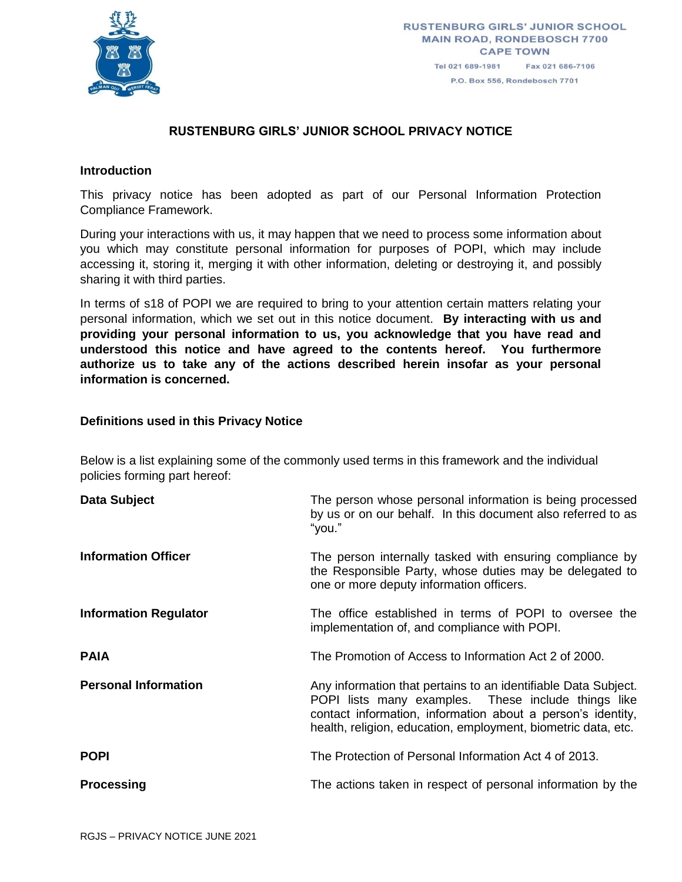

# **RUSTENBURG GIRLS' JUNIOR SCHOOL PRIVACY NOTICE**

#### **Introduction**

This privacy notice has been adopted as part of our Personal Information Protection Compliance Framework.

During your interactions with us, it may happen that we need to process some information about you which may constitute personal information for purposes of POPI, which may include accessing it, storing it, merging it with other information, deleting or destroying it, and possibly sharing it with third parties.

In terms of s18 of POPI we are required to bring to your attention certain matters relating your personal information, which we set out in this notice document. **By interacting with us and providing your personal information to us, you acknowledge that you have read and understood this notice and have agreed to the contents hereof. You furthermore authorize us to take any of the actions described herein insofar as your personal information is concerned.**

#### **Definitions used in this Privacy Notice**

Below is a list explaining some of the commonly used terms in this framework and the individual policies forming part hereof:

| Data Subject                 | The person whose personal information is being processed<br>by us or on our behalf. In this document also referred to as<br>"you."                                                                                                                    |
|------------------------------|-------------------------------------------------------------------------------------------------------------------------------------------------------------------------------------------------------------------------------------------------------|
| <b>Information Officer</b>   | The person internally tasked with ensuring compliance by<br>the Responsible Party, whose duties may be delegated to<br>one or more deputy information officers.                                                                                       |
| <b>Information Regulator</b> | The office established in terms of POPI to oversee the<br>implementation of, and compliance with POPI.                                                                                                                                                |
| <b>PAIA</b>                  | The Promotion of Access to Information Act 2 of 2000.                                                                                                                                                                                                 |
| <b>Personal Information</b>  | Any information that pertains to an identifiable Data Subject.<br>POPI lists many examples. These include things like<br>contact information, information about a person's identity,<br>health, religion, education, employment, biometric data, etc. |
| <b>POPI</b>                  | The Protection of Personal Information Act 4 of 2013.                                                                                                                                                                                                 |
| <b>Processing</b>            | The actions taken in respect of personal information by the                                                                                                                                                                                           |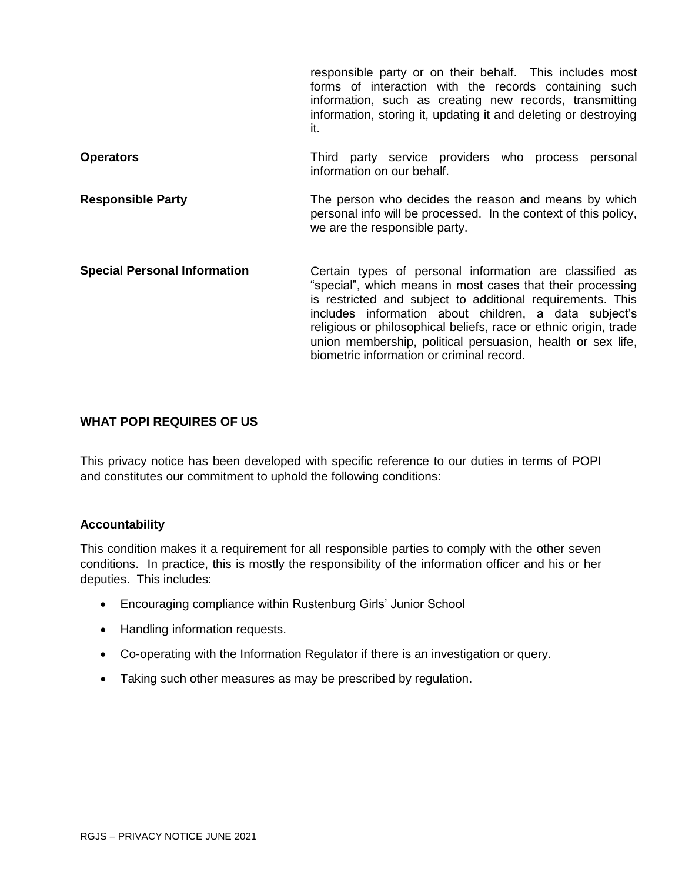responsible party or on their behalf. This includes most forms of interaction with the records containing such information, such as creating new records, transmitting information, storing it, updating it and deleting or destroying it. **Operators Conservers Operators Conserverse Exercise Providers** who process personal information on our behalf. **Responsible Party** The person who decides the reason and means by which personal info will be processed. In the context of this policy, we are the responsible party.

**Special Personal Information Certain types of personal information are classified as** "special", which means in most cases that their processing is restricted and subject to additional requirements. This includes information about children, a data subject's religious or philosophical beliefs, race or ethnic origin, trade union membership, political persuasion, health or sex life, biometric information or criminal record.

# **WHAT POPI REQUIRES OF US**

This privacy notice has been developed with specific reference to our duties in terms of POPI and constitutes our commitment to uphold the following conditions:

#### **Accountability**

This condition makes it a requirement for all responsible parties to comply with the other seven conditions. In practice, this is mostly the responsibility of the information officer and his or her deputies. This includes:

- Encouraging compliance within Rustenburg Girls' Junior School
- Handling information requests.
- Co-operating with the Information Regulator if there is an investigation or query.
- Taking such other measures as may be prescribed by regulation.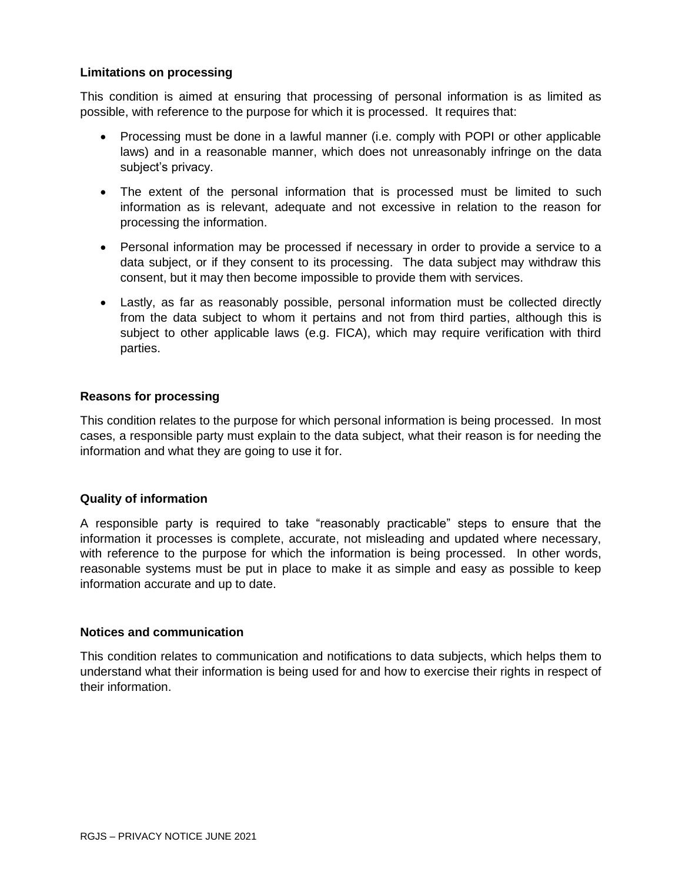## **Limitations on processing**

This condition is aimed at ensuring that processing of personal information is as limited as possible, with reference to the purpose for which it is processed. It requires that:

- Processing must be done in a lawful manner (i.e. comply with POPI or other applicable laws) and in a reasonable manner, which does not unreasonably infringe on the data subject's privacy.
- The extent of the personal information that is processed must be limited to such information as is relevant, adequate and not excessive in relation to the reason for processing the information.
- Personal information may be processed if necessary in order to provide a service to a data subject, or if they consent to its processing. The data subject may withdraw this consent, but it may then become impossible to provide them with services.
- Lastly, as far as reasonably possible, personal information must be collected directly from the data subject to whom it pertains and not from third parties, although this is subject to other applicable laws (e.g. FICA), which may require verification with third parties.

#### **Reasons for processing**

This condition relates to the purpose for which personal information is being processed. In most cases, a responsible party must explain to the data subject, what their reason is for needing the information and what they are going to use it for.

# **Quality of information**

A responsible party is required to take "reasonably practicable" steps to ensure that the information it processes is complete, accurate, not misleading and updated where necessary, with reference to the purpose for which the information is being processed. In other words, reasonable systems must be put in place to make it as simple and easy as possible to keep information accurate and up to date.

#### **Notices and communication**

This condition relates to communication and notifications to data subjects, which helps them to understand what their information is being used for and how to exercise their rights in respect of their information.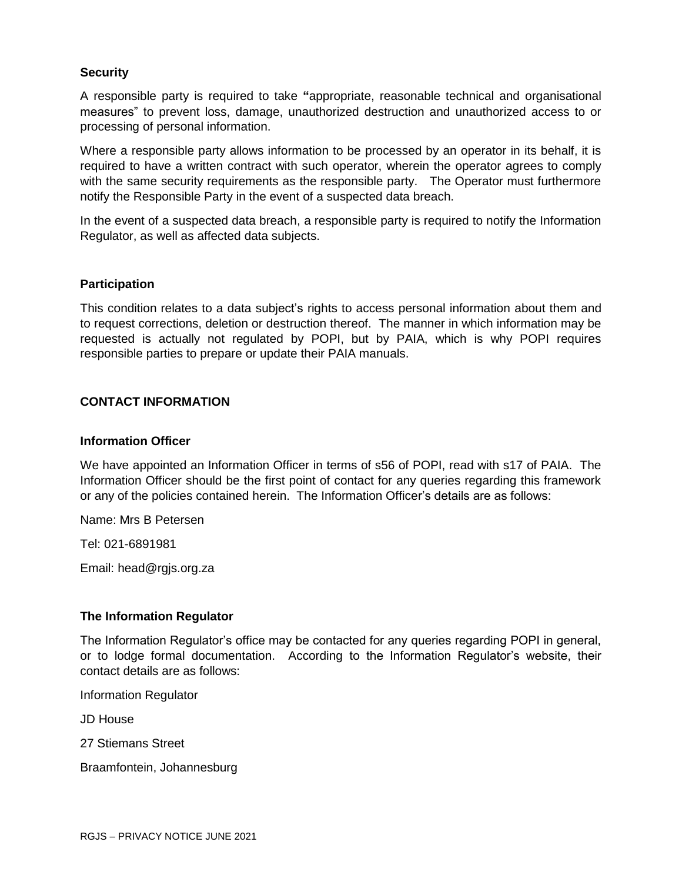## **Security**

A responsible party is required to take **"**appropriate, reasonable technical and organisational measures" to prevent loss, damage, unauthorized destruction and unauthorized access to or processing of personal information.

Where a responsible party allows information to be processed by an operator in its behalf, it is required to have a written contract with such operator, wherein the operator agrees to comply with the same security requirements as the responsible party. The Operator must furthermore notify the Responsible Party in the event of a suspected data breach.

In the event of a suspected data breach, a responsible party is required to notify the Information Regulator, as well as affected data subjects.

#### **Participation**

This condition relates to a data subject's rights to access personal information about them and to request corrections, deletion or destruction thereof. The manner in which information may be requested is actually not regulated by POPI, but by PAIA, which is why POPI requires responsible parties to prepare or update their PAIA manuals.

#### **CONTACT INFORMATION**

#### **Information Officer**

We have appointed an Information Officer in terms of s56 of POPI, read with s17 of PAIA. The Information Officer should be the first point of contact for any queries regarding this framework or any of the policies contained herein. The Information Officer's details are as follows:

Name: Mrs B Petersen

Tel: 021-6891981

Email: head@rgjs.org.za

#### **The Information Regulator**

The Information Regulator's office may be contacted for any queries regarding POPI in general, or to lodge formal documentation. According to the Information Regulator's website, their contact details are as follows:

Information Regulator

JD House

27 Stiemans Street

Braamfontein, Johannesburg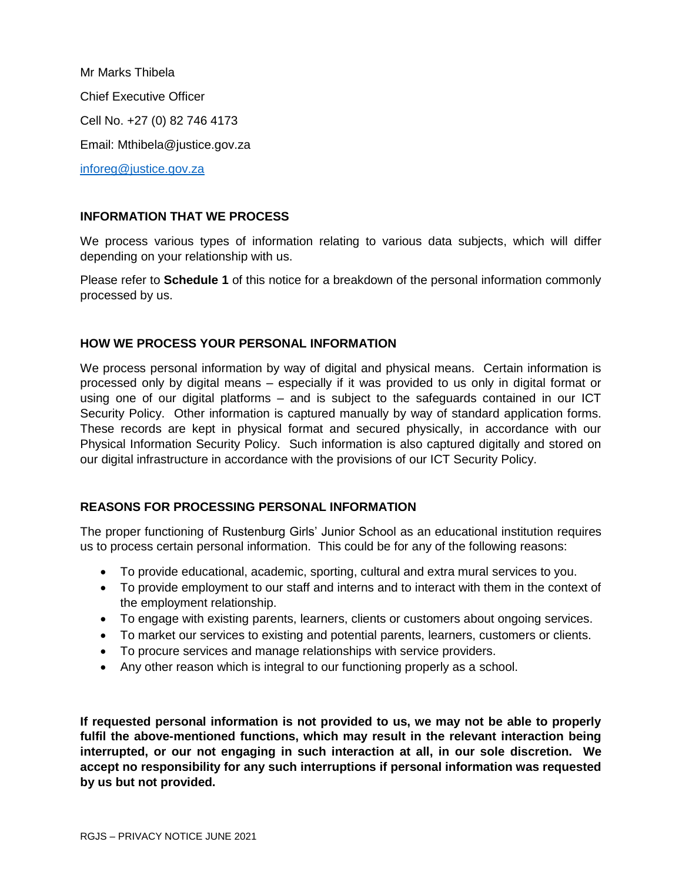Mr Marks Thibela Chief Executive Officer Cell No. +27 (0) 82 746 4173 Email: Mthibela@justice.gov.za [inforeg@justice.gov.za](mailto:inforeg@justice.gov.za)

## **INFORMATION THAT WE PROCESS**

We process various types of information relating to various data subjects, which will differ depending on your relationship with us.

Please refer to **Schedule 1** of this notice for a breakdown of the personal information commonly processed by us.

## **HOW WE PROCESS YOUR PERSONAL INFORMATION**

We process personal information by way of digital and physical means. Certain information is processed only by digital means – especially if it was provided to us only in digital format or using one of our digital platforms – and is subject to the safeguards contained in our ICT Security Policy. Other information is captured manually by way of standard application forms. These records are kept in physical format and secured physically, in accordance with our Physical Information Security Policy. Such information is also captured digitally and stored on our digital infrastructure in accordance with the provisions of our ICT Security Policy.

# **REASONS FOR PROCESSING PERSONAL INFORMATION**

The proper functioning of Rustenburg Girls' Junior School as an educational institution requires us to process certain personal information. This could be for any of the following reasons:

- To provide educational, academic, sporting, cultural and extra mural services to you.
- To provide employment to our staff and interns and to interact with them in the context of the employment relationship.
- To engage with existing parents, learners, clients or customers about ongoing services.
- To market our services to existing and potential parents, learners, customers or clients.
- To procure services and manage relationships with service providers.
- Any other reason which is integral to our functioning properly as a school.

**If requested personal information is not provided to us, we may not be able to properly fulfil the above-mentioned functions, which may result in the relevant interaction being interrupted, or our not engaging in such interaction at all, in our sole discretion. We accept no responsibility for any such interruptions if personal information was requested by us but not provided.**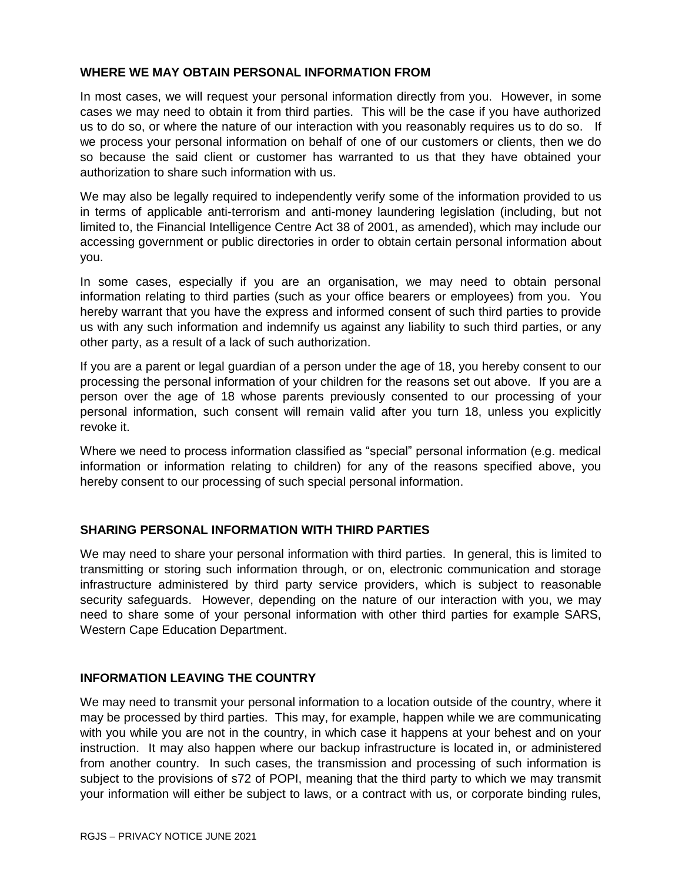## **WHERE WE MAY OBTAIN PERSONAL INFORMATION FROM**

In most cases, we will request your personal information directly from you. However, in some cases we may need to obtain it from third parties. This will be the case if you have authorized us to do so, or where the nature of our interaction with you reasonably requires us to do so. If we process your personal information on behalf of one of our customers or clients, then we do so because the said client or customer has warranted to us that they have obtained your authorization to share such information with us.

We may also be legally required to independently verify some of the information provided to us in terms of applicable anti-terrorism and anti-money laundering legislation (including, but not limited to, the Financial Intelligence Centre Act 38 of 2001, as amended), which may include our accessing government or public directories in order to obtain certain personal information about you.

In some cases, especially if you are an organisation, we may need to obtain personal information relating to third parties (such as your office bearers or employees) from you. You hereby warrant that you have the express and informed consent of such third parties to provide us with any such information and indemnify us against any liability to such third parties, or any other party, as a result of a lack of such authorization.

If you are a parent or legal guardian of a person under the age of 18, you hereby consent to our processing the personal information of your children for the reasons set out above. If you are a person over the age of 18 whose parents previously consented to our processing of your personal information, such consent will remain valid after you turn 18, unless you explicitly revoke it.

Where we need to process information classified as "special" personal information (e.g. medical information or information relating to children) for any of the reasons specified above, you hereby consent to our processing of such special personal information.

# **SHARING PERSONAL INFORMATION WITH THIRD PARTIES**

We may need to share your personal information with third parties. In general, this is limited to transmitting or storing such information through, or on, electronic communication and storage infrastructure administered by third party service providers, which is subject to reasonable security safeguards. However, depending on the nature of our interaction with you, we may need to share some of your personal information with other third parties for example SARS, Western Cape Education Department.

# **INFORMATION LEAVING THE COUNTRY**

We may need to transmit your personal information to a location outside of the country, where it may be processed by third parties. This may, for example, happen while we are communicating with you while you are not in the country, in which case it happens at your behest and on your instruction. It may also happen where our backup infrastructure is located in, or administered from another country. In such cases, the transmission and processing of such information is subject to the provisions of s72 of POPI, meaning that the third party to which we may transmit your information will either be subject to laws, or a contract with us, or corporate binding rules,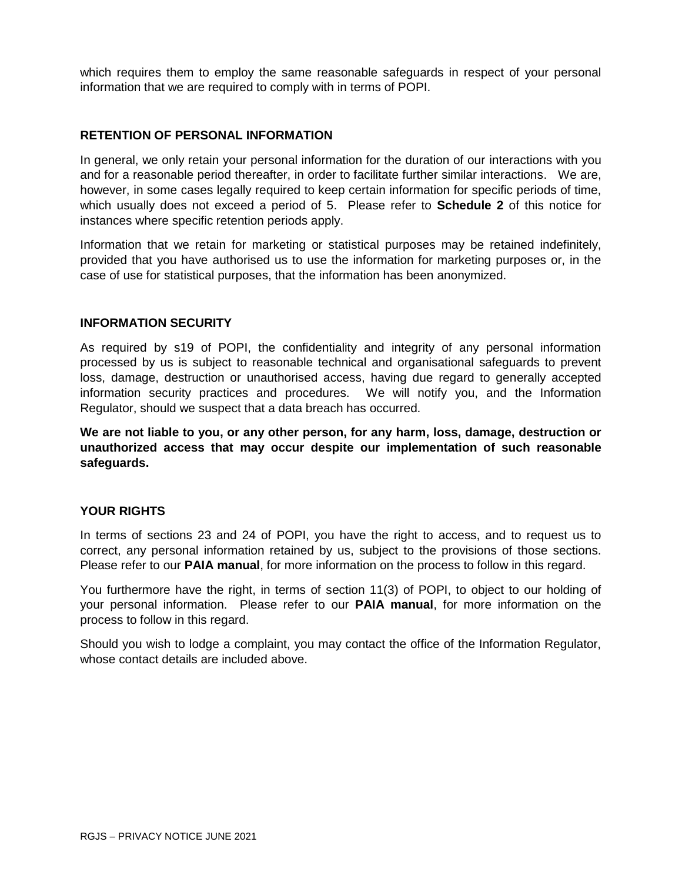which requires them to employ the same reasonable safeguards in respect of your personal information that we are required to comply with in terms of POPI.

# **RETENTION OF PERSONAL INFORMATION**

In general, we only retain your personal information for the duration of our interactions with you and for a reasonable period thereafter, in order to facilitate further similar interactions. We are, however, in some cases legally required to keep certain information for specific periods of time, which usually does not exceed a period of 5. Please refer to **Schedule 2** of this notice for instances where specific retention periods apply.

Information that we retain for marketing or statistical purposes may be retained indefinitely, provided that you have authorised us to use the information for marketing purposes or, in the case of use for statistical purposes, that the information has been anonymized.

#### **INFORMATION SECURITY**

As required by s19 of POPI, the confidentiality and integrity of any personal information processed by us is subject to reasonable technical and organisational safeguards to prevent loss, damage, destruction or unauthorised access, having due regard to generally accepted information security practices and procedures. We will notify you, and the Information Regulator, should we suspect that a data breach has occurred.

**We are not liable to you, or any other person, for any harm, loss, damage, destruction or unauthorized access that may occur despite our implementation of such reasonable safeguards.**

#### **YOUR RIGHTS**

In terms of sections 23 and 24 of POPI, you have the right to access, and to request us to correct, any personal information retained by us, subject to the provisions of those sections. Please refer to our **PAIA manual**, for more information on the process to follow in this regard.

You furthermore have the right, in terms of section 11(3) of POPI, to object to our holding of your personal information. Please refer to our **PAIA manual**, for more information on the process to follow in this regard.

Should you wish to lodge a complaint, you may contact the office of the Information Regulator, whose contact details are included above.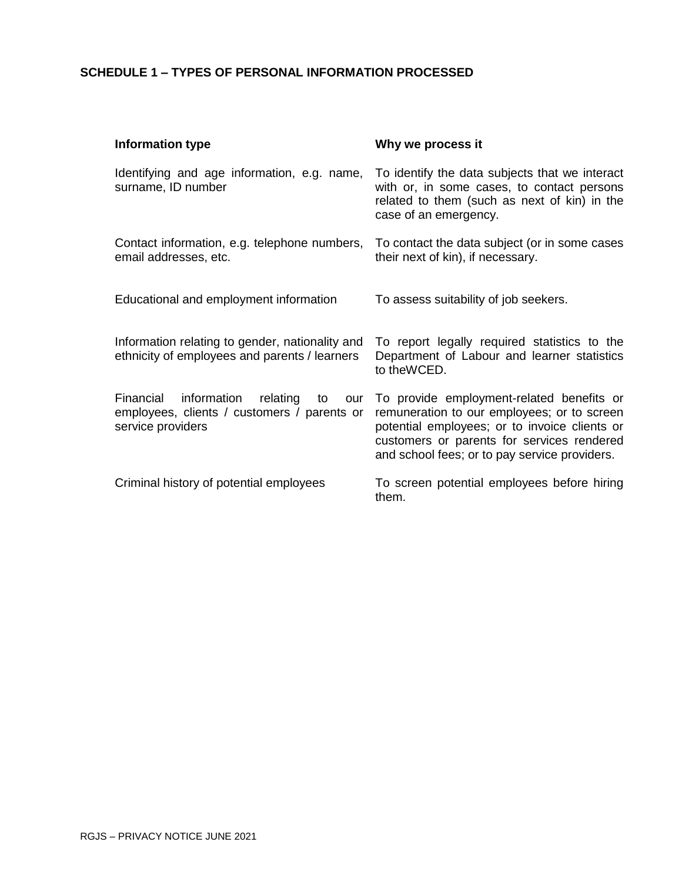# **SCHEDULE 1 – TYPES OF PERSONAL INFORMATION PROCESSED**

| Information type                                                                                                      | Why we process it                                                                                                                                                                                                                        |
|-----------------------------------------------------------------------------------------------------------------------|------------------------------------------------------------------------------------------------------------------------------------------------------------------------------------------------------------------------------------------|
| Identifying and age information, e.g. name,<br>surname, ID number                                                     | To identify the data subjects that we interact<br>with or, in some cases, to contact persons<br>related to them (such as next of kin) in the<br>case of an emergency.                                                                    |
| Contact information, e.g. telephone numbers,<br>email addresses, etc.                                                 | To contact the data subject (or in some cases<br>their next of kin), if necessary.                                                                                                                                                       |
| Educational and employment information                                                                                | To assess suitability of job seekers.                                                                                                                                                                                                    |
| Information relating to gender, nationality and<br>ethnicity of employees and parents / learners                      | To report legally required statistics to the<br>Department of Labour and learner statistics<br>to the WCED.                                                                                                                              |
| information<br>relating<br>Financial<br>to<br>our<br>employees, clients / customers / parents or<br>service providers | To provide employment-related benefits or<br>remuneration to our employees; or to screen<br>potential employees; or to invoice clients or<br>customers or parents for services rendered<br>and school fees; or to pay service providers. |
| Criminal history of potential employees                                                                               | To screen potential employees before hiring<br>them.                                                                                                                                                                                     |